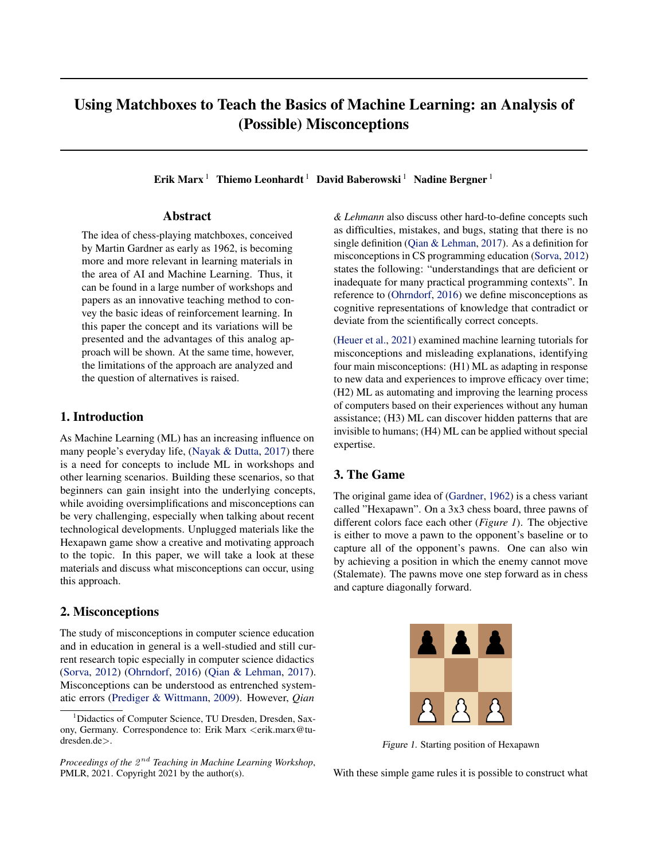# Using Matchboxes to Teach the Basics of Machine Learning: an Analysis of (Possible) Misconceptions

Erik Marx<sup>1</sup> Thiemo Leonhardt<sup>1</sup> David Baberowski<sup>1</sup> Nadine Bergner<sup>1</sup>

# Abstract

The idea of chess-playing matchboxes, conceived by Martin Gardner as early as 1962, is becoming more and more relevant in learning materials in the area of AI and Machine Learning. Thus, it can be found in a large number of workshops and papers as an innovative teaching method to convey the basic ideas of reinforcement learning. In this paper the concept and its variations will be presented and the advantages of this analog approach will be shown. At the same time, however, the limitations of the approach are analyzed and the question of alternatives is raised.

## 1. Introduction

As Machine Learning (ML) has an increasing influence on many people's everyday life, [\(Nayak & Dutta,](#page-4-0) [2017\)](#page-4-0) there is a need for concepts to include ML in workshops and other learning scenarios. Building these scenarios, so that beginners can gain insight into the underlying concepts, while avoiding oversimplifications and misconceptions can be very challenging, especially when talking about recent technological developments. Unplugged materials like the Hexapawn game show a creative and motivating approach to the topic. In this paper, we will take a look at these materials and discuss what misconceptions can occur, using this approach.

# 2. Misconceptions

The study of misconceptions in computer science education and in education in general is a well-studied and still current research topic especially in computer science didactics [\(Sorva,](#page-4-0) [2012\)](#page-4-0) [\(Ohrndorf,](#page-4-0) [2016\)](#page-4-0) [\(Qian & Lehman,](#page-4-0) [2017\)](#page-4-0). Misconceptions can be understood as entrenched systematic errors [\(Prediger & Wittmann,](#page-4-0) [2009\)](#page-4-0). However, *Qian*

*& Lehmann* also discuss other hard-to-define concepts such as difficulties, mistakes, and bugs, stating that there is no single definition [\(Qian & Lehman,](#page-4-0) [2017\)](#page-4-0). As a definition for misconceptions in CS programming education [\(Sorva,](#page-4-0) [2012\)](#page-4-0) states the following: "understandings that are deficient or inadequate for many practical programming contexts". In reference to [\(Ohrndorf,](#page-4-0) [2016\)](#page-4-0) we define misconceptions as cognitive representations of knowledge that contradict or deviate from the scientifically correct concepts.

[\(Heuer et al.,](#page-4-0) [2021\)](#page-4-0) examined machine learning tutorials for misconceptions and misleading explanations, identifying four main misconceptions: (H1) ML as adapting in response to new data and experiences to improve efficacy over time; (H2) ML as automating and improving the learning process of computers based on their experiences without any human assistance; (H3) ML can discover hidden patterns that are invisible to humans; (H4) ML can be applied without special expertise.

# 3. The Game

The original game idea of [\(Gardner,](#page-4-0) [1962\)](#page-4-0) is a chess variant called "Hexapawn". On a 3x3 chess board, three pawns of different colors face each other (*Figure 1*). The objective is either to move a pawn to the opponent's baseline or to capture all of the opponent's pawns. One can also win by achieving a position in which the enemy cannot move (Stalemate). The pawns move one step forward as in chess and capture diagonally forward.



Figure 1. Starting position of Hexapawn

With these simple game rules it is possible to construct what

<sup>&</sup>lt;sup>1</sup>Didactics of Computer Science, TU Dresden, Dresden, Saxony, Germany. Correspondence to: Erik Marx <erik.marx@tudresden.de>.

Proceedings of the  $2^{nd}$  Teaching in Machine Learning Workshop, PMLR, 2021. Copyright 2021 by the author(s).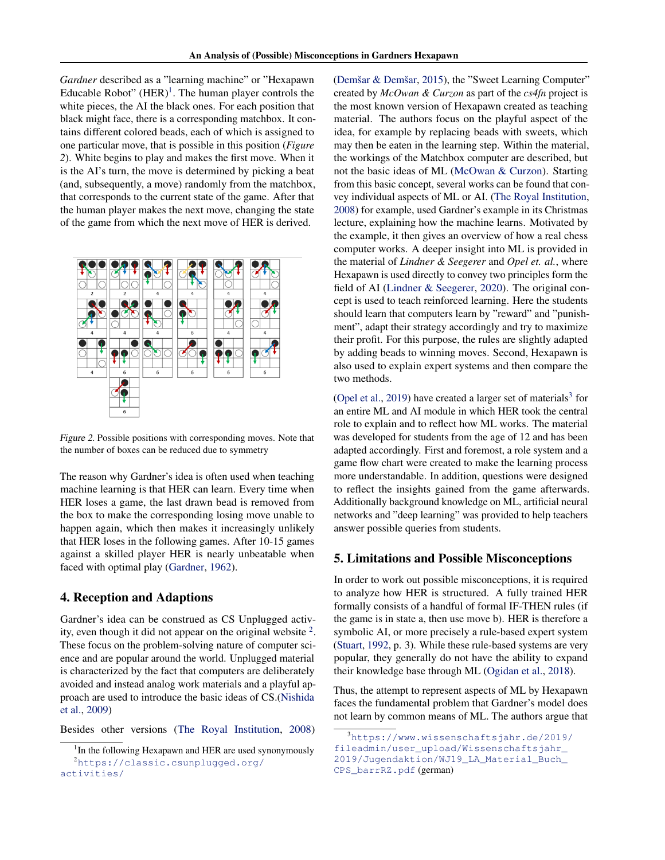*Gardner* described as a "learning machine" or "Hexapawn Educable Robot"  $(HER)^1$ . The human player controls the white pieces, the AI the black ones. For each position that black might face, there is a corresponding matchbox. It contains different colored beads, each of which is assigned to one particular move, that is possible in this position (*Figure 2*). White begins to play and makes the first move. When it is the AI's turn, the move is determined by picking a beat (and, subsequently, a move) randomly from the matchbox, that corresponds to the current state of the game. After that the human player makes the next move, changing the state of the game from which the next move of HER is derived.



Figure 2. Possible positions with corresponding moves. Note that the number of boxes can be reduced due to symmetry

The reason why Gardner's idea is often used when teaching machine learning is that HER can learn. Every time when HER loses a game, the last drawn bead is removed from the box to make the corresponding losing move unable to happen again, which then makes it increasingly unlikely that HER loses in the following games. After 10-15 games against a skilled player HER is nearly unbeatable when faced with optimal play [\(Gardner,](#page-4-0) [1962\)](#page-4-0).

## 4. Reception and Adaptions

Gardner's idea can be construed as CS Unplugged activity, even though it did not appear on the original website  $2$ . These focus on the problem-solving nature of computer science and are popular around the world. Unplugged material is characterized by the fact that computers are deliberately avoided and instead analog work materials and a playful approach are used to introduce the basic ideas of CS.[\(Nishida](#page-4-0) [et al.,](#page-4-0) [2009\)](#page-4-0)

Besides other versions [\(The Royal Institution,](#page-4-0) [2008\)](#page-4-0)

(Demšar & Demšar, [2015\)](#page-4-0), the "Sweet Learning Computer" created by *McOwan & Curzon* as part of the *cs4fn* project is the most known version of Hexapawn created as teaching material. The authors focus on the playful aspect of the idea, for example by replacing beads with sweets, which may then be eaten in the learning step. Within the material, the workings of the Matchbox computer are described, but not the basic ideas of ML [\(McOwan & Curzon\)](#page-4-0). Starting from this basic concept, several works can be found that convey individual aspects of ML or AI. [\(The Royal Institution,](#page-4-0) [2008\)](#page-4-0) for example, used Gardner's example in its Christmas lecture, explaining how the machine learns. Motivated by the example, it then gives an overview of how a real chess computer works. A deeper insight into ML is provided in the material of *Lindner & Seegerer* and *Opel et. al.*, where Hexapawn is used directly to convey two principles form the field of AI [\(Lindner & Seegerer,](#page-4-0) [2020\)](#page-4-0). The original concept is used to teach reinforced learning. Here the students should learn that computers learn by "reward" and "punishment", adapt their strategy accordingly and try to maximize their profit. For this purpose, the rules are slightly adapted by adding beads to winning moves. Second, Hexapawn is also used to explain expert systems and then compare the two methods.

[\(Opel et al.,](#page-4-0) [2019\)](#page-4-0) have created a larger set of materials<sup>3</sup> for an entire ML and AI module in which HER took the central role to explain and to reflect how ML works. The material was developed for students from the age of 12 and has been adapted accordingly. First and foremost, a role system and a game flow chart were created to make the learning process more understandable. In addition, questions were designed to reflect the insights gained from the game afterwards. Additionally background knowledge on ML, artificial neural networks and "deep learning" was provided to help teachers answer possible queries from students.

## 5. Limitations and Possible Misconceptions

In order to work out possible misconceptions, it is required to analyze how HER is structured. A fully trained HER formally consists of a handful of formal IF-THEN rules (if the game is in state a, then use move b). HER is therefore a symbolic AI, or more precisely a rule-based expert system [\(Stuart,](#page-4-0) [1992,](#page-4-0) p. 3). While these rule-based systems are very popular, they generally do not have the ability to expand their knowledge base through ML [\(Ogidan et al.,](#page-4-0) [2018\)](#page-4-0).

Thus, the attempt to represent aspects of ML by Hexapawn faces the fundamental problem that Gardner's model does not learn by common means of ML. The authors argue that

<sup>&</sup>lt;sup>1</sup>In the following Hexapawn and HER are used synonymously <sup>2</sup>[https://classic.csunplugged.org/](https://classic.csunplugged.org/activities/) [activities/](https://classic.csunplugged.org/activities/)

<sup>3</sup>[https://www.wissenschaftsjahr.de/2019/](https://www.wissenschaftsjahr.de/2019/fileadmin/user_upload/Wissenschaftsjahr_2019/Jugendaktion/WJ19_LA_Material_Buch_CPS_barrRZ.pdf)

[fileadmin/user\\_upload/Wissenschaftsjahr\\_](https://www.wissenschaftsjahr.de/2019/fileadmin/user_upload/Wissenschaftsjahr_2019/Jugendaktion/WJ19_LA_Material_Buch_CPS_barrRZ.pdf)

[<sup>2019/</sup>Jugendaktion/WJ19\\_LA\\_Material\\_Buch\\_](https://www.wissenschaftsjahr.de/2019/fileadmin/user_upload/Wissenschaftsjahr_2019/Jugendaktion/WJ19_LA_Material_Buch_CPS_barrRZ.pdf)

[CPS\\_barrRZ.pdf](https://www.wissenschaftsjahr.de/2019/fileadmin/user_upload/Wissenschaftsjahr_2019/Jugendaktion/WJ19_LA_Material_Buch_CPS_barrRZ.pdf) (german)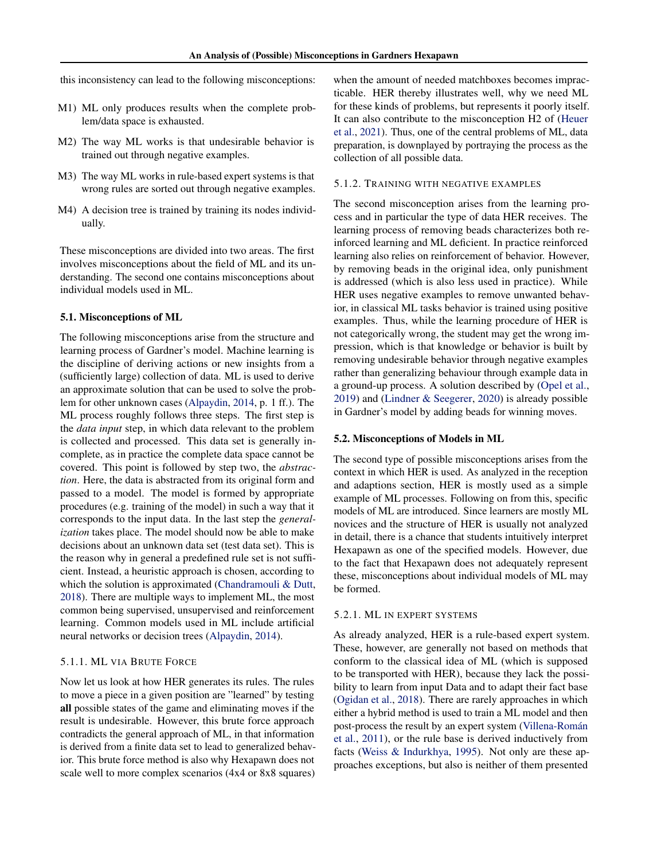this inconsistency can lead to the following misconceptions:

- M1) ML only produces results when the complete problem/data space is exhausted.
- M2) The way ML works is that undesirable behavior is trained out through negative examples.
- M3) The way ML works in rule-based expert systems is that wrong rules are sorted out through negative examples.
- M4) A decision tree is trained by training its nodes individually.

These misconceptions are divided into two areas. The first involves misconceptions about the field of ML and its understanding. The second one contains misconceptions about individual models used in ML.

#### 5.1. Misconceptions of ML

The following misconceptions arise from the structure and learning process of Gardner's model. Machine learning is the discipline of deriving actions or new insights from a (sufficiently large) collection of data. ML is used to derive an approximate solution that can be used to solve the problem for other unknown cases [\(Alpaydin,](#page-4-0) [2014,](#page-4-0) p. 1 ff.). The ML process roughly follows three steps. The first step is the *data input* step, in which data relevant to the problem is collected and processed. This data set is generally incomplete, as in practice the complete data space cannot be covered. This point is followed by step two, the *abstraction*. Here, the data is abstracted from its original form and passed to a model. The model is formed by appropriate procedures (e.g. training of the model) in such a way that it corresponds to the input data. In the last step the *generalization* takes place. The model should now be able to make decisions about an unknown data set (test data set). This is the reason why in general a predefined rule set is not sufficient. Instead, a heuristic approach is chosen, according to which the solution is approximated [\(Chandramouli & Dutt,](#page-4-0) [2018\)](#page-4-0). There are multiple ways to implement ML, the most common being supervised, unsupervised and reinforcement learning. Common models used in ML include artificial neural networks or decision trees [\(Alpaydin,](#page-4-0) [2014\)](#page-4-0).

#### 5.1.1. ML VIA BRUTE FORCE

Now let us look at how HER generates its rules. The rules to move a piece in a given position are "learned" by testing all possible states of the game and eliminating moves if the result is undesirable. However, this brute force approach contradicts the general approach of ML, in that information is derived from a finite data set to lead to generalized behavior. This brute force method is also why Hexapawn does not scale well to more complex scenarios (4x4 or 8x8 squares) when the amount of needed matchboxes becomes impracticable. HER thereby illustrates well, why we need ML for these kinds of problems, but represents it poorly itself. It can also contribute to the misconception H2 of [\(Heuer](#page-4-0) [et al.,](#page-4-0) [2021\)](#page-4-0). Thus, one of the central problems of ML, data preparation, is downplayed by portraying the process as the collection of all possible data.

#### 5.1.2. TRAINING WITH NEGATIVE EXAMPLES

The second misconception arises from the learning process and in particular the type of data HER receives. The learning process of removing beads characterizes both reinforced learning and ML deficient. In practice reinforced learning also relies on reinforcement of behavior. However, by removing beads in the original idea, only punishment is addressed (which is also less used in practice). While HER uses negative examples to remove unwanted behavior, in classical ML tasks behavior is trained using positive examples. Thus, while the learning procedure of HER is not categorically wrong, the student may get the wrong impression, which is that knowledge or behavior is built by removing undesirable behavior through negative examples rather than generalizing behaviour through example data in a ground-up process. A solution described by [\(Opel et al.,](#page-4-0) [2019\)](#page-4-0) and [\(Lindner & Seegerer,](#page-4-0) [2020\)](#page-4-0) is already possible in Gardner's model by adding beads for winning moves.

#### 5.2. Misconceptions of Models in ML

The second type of possible misconceptions arises from the context in which HER is used. As analyzed in the reception and adaptions section, HER is mostly used as a simple example of ML processes. Following on from this, specific models of ML are introduced. Since learners are mostly ML novices and the structure of HER is usually not analyzed in detail, there is a chance that students intuitively interpret Hexapawn as one of the specified models. However, due to the fact that Hexapawn does not adequately represent these, misconceptions about individual models of ML may be formed.

#### 5.2.1. ML IN EXPERT SYSTEMS

As already analyzed, HER is a rule-based expert system. These, however, are generally not based on methods that conform to the classical idea of ML (which is supposed to be transported with HER), because they lack the possibility to learn from input Data and to adapt their fact base [\(Ogidan et al.,](#page-4-0) [2018\)](#page-4-0). There are rarely approaches in which either a hybrid method is used to train a ML model and then post-process the result by an expert system [\(Villena-Roman´](#page-4-0) [et al.,](#page-4-0) [2011\)](#page-4-0), or the rule base is derived inductively from facts [\(Weiss & Indurkhya,](#page-4-0) [1995\)](#page-4-0). Not only are these approaches exceptions, but also is neither of them presented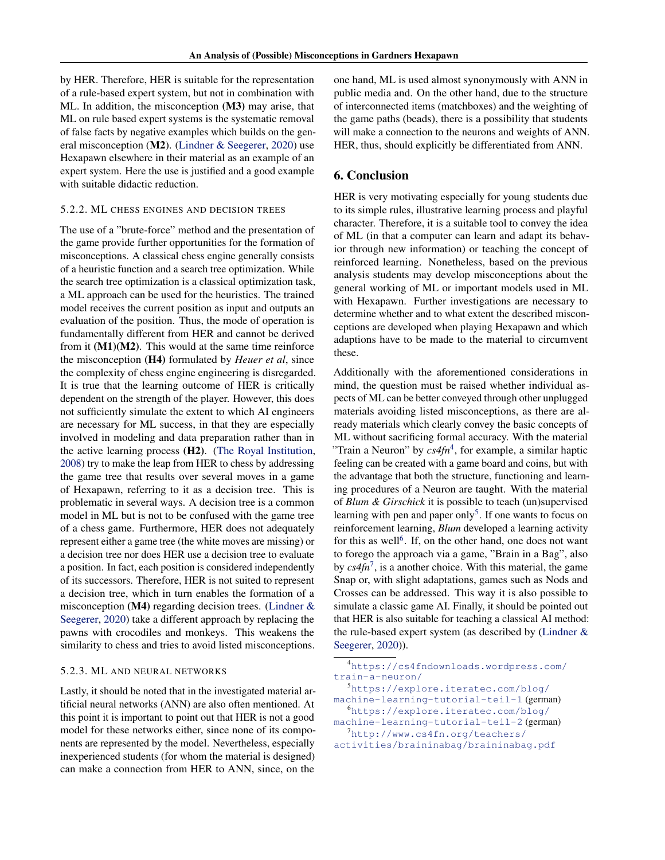by HER. Therefore, HER is suitable for the representation of a rule-based expert system, but not in combination with ML. In addition, the misconception (M3) may arise, that ML on rule based expert systems is the systematic removal of false facts by negative examples which builds on the general misconception (M2). [\(Lindner & Seegerer,](#page-4-0) [2020\)](#page-4-0) use Hexapawn elsewhere in their material as an example of an expert system. Here the use is justified and a good example with suitable didactic reduction.

#### 5.2.2. ML CHESS ENGINES AND DECISION TREES

The use of a "brute-force" method and the presentation of the game provide further opportunities for the formation of misconceptions. A classical chess engine generally consists of a heuristic function and a search tree optimization. While the search tree optimization is a classical optimization task, a ML approach can be used for the heuristics. The trained model receives the current position as input and outputs an evaluation of the position. Thus, the mode of operation is fundamentally different from HER and cannot be derived from it  $(M1)(M2)$ . This would at the same time reinforce the misconception (H4) formulated by *Heuer et al*, since the complexity of chess engine engineering is disregarded. It is true that the learning outcome of HER is critically dependent on the strength of the player. However, this does not sufficiently simulate the extent to which AI engineers are necessary for ML success, in that they are especially involved in modeling and data preparation rather than in the active learning process (H2). [\(The Royal Institution,](#page-4-0) [2008\)](#page-4-0) try to make the leap from HER to chess by addressing the game tree that results over several moves in a game of Hexapawn, referring to it as a decision tree. This is problematic in several ways. A decision tree is a common model in ML but is not to be confused with the game tree of a chess game. Furthermore, HER does not adequately represent either a game tree (the white moves are missing) or a decision tree nor does HER use a decision tree to evaluate a position. In fact, each position is considered independently of its successors. Therefore, HER is not suited to represent a decision tree, which in turn enables the formation of a misconception (M4) regarding decision trees. [\(Lindner &](#page-4-0) [Seegerer,](#page-4-0) [2020\)](#page-4-0) take a different approach by replacing the pawns with crocodiles and monkeys. This weakens the similarity to chess and tries to avoid listed misconceptions.

### 5.2.3. ML AND NEURAL NETWORKS

Lastly, it should be noted that in the investigated material artificial neural networks (ANN) are also often mentioned. At this point it is important to point out that HER is not a good model for these networks either, since none of its components are represented by the model. Nevertheless, especially inexperienced students (for whom the material is designed) can make a connection from HER to ANN, since, on the

one hand, ML is used almost synonymously with ANN in public media and. On the other hand, due to the structure of interconnected items (matchboxes) and the weighting of the game paths (beads), there is a possibility that students will make a connection to the neurons and weights of ANN. HER, thus, should explicitly be differentiated from ANN.

## 6. Conclusion

HER is very motivating especially for young students due to its simple rules, illustrative learning process and playful character. Therefore, it is a suitable tool to convey the idea of ML (in that a computer can learn and adapt its behavior through new information) or teaching the concept of reinforced learning. Nonetheless, based on the previous analysis students may develop misconceptions about the general working of ML or important models used in ML with Hexapawn. Further investigations are necessary to determine whether and to what extent the described misconceptions are developed when playing Hexapawn and which adaptions have to be made to the material to circumvent these.

Additionally with the aforementioned considerations in mind, the question must be raised whether individual aspects of ML can be better conveyed through other unplugged materials avoiding listed misconceptions, as there are already materials which clearly convey the basic concepts of ML without sacrificing formal accuracy. With the material "Train a Neuron" by *cs4fn*<sup>4</sup> , for example, a similar haptic feeling can be created with a game board and coins, but with the advantage that both the structure, functioning and learning procedures of a Neuron are taught. With the material of *Blum & Girschick* it is possible to teach (un)supervised learning with pen and paper only<sup>5</sup>. If one wants to focus on reinforcement learning, *Blum* developed a learning activity for this as well<sup>6</sup>. If, on the other hand, one does not want to forego the approach via a game, "Brain in a Bag", also by *cs4fn*<sup>7</sup> , is a another choice. With this material, the game Snap or, with slight adaptations, games such as Nods and Crosses can be addressed. This way it is also possible to simulate a classic game AI. Finally, it should be pointed out that HER is also suitable for teaching a classical AI method: the rule-based expert system (as described by [\(Lindner &](#page-4-0) [Seegerer,](#page-4-0) [2020\)](#page-4-0)).

<sup>4</sup>[https://cs4fndownloads.wordpress.com/](https://cs4fndownloads.wordpress.com/train-a-neuron/) [train-a-neuron/](https://cs4fndownloads.wordpress.com/train-a-neuron/)

<sup>5</sup>[https://explore.iteratec.com/blog/](https://explore.iteratec.com/blog/machine-learning-tutorial-teil-1) [machine-learning-tutorial-teil-1](https://explore.iteratec.com/blog/machine-learning-tutorial-teil-1) (german)

<sup>6</sup>[https://explore.iteratec.com/blog/](https://explore.iteratec.com/blog/machine-learning-tutorial-teil-2) [machine-learning-tutorial-teil-2](https://explore.iteratec.com/blog/machine-learning-tutorial-teil-2) (german)

```
7http://www.cs4fn.org/teachers/
activities/braininabag/braininabag.pdf
```